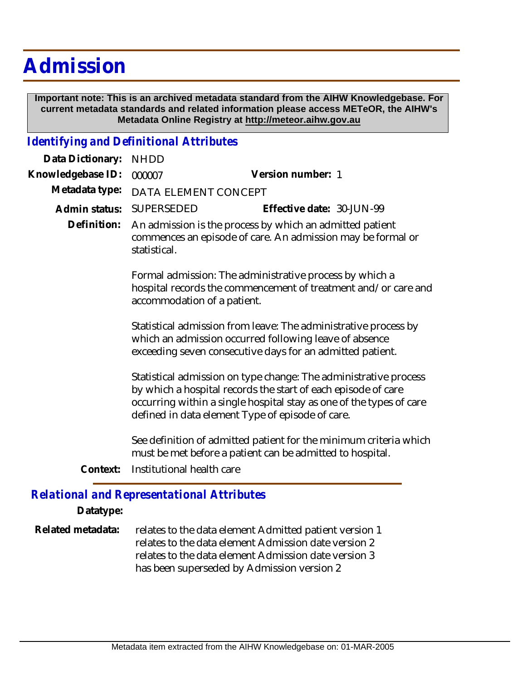## **Admission**

 **Important note: This is an archived metadata standard from the AIHW Knowledgebase. For current metadata standards and related information please access METeOR, the AIHW's Metadata Online Registry at http://meteor.aihw.gov.au**

## *Identifying and Definitional Attributes*

| Data Dictionary:                                  | <b>NHDD</b>                                                                                                                                                                                                                                                  |                                                                                                                                |
|---------------------------------------------------|--------------------------------------------------------------------------------------------------------------------------------------------------------------------------------------------------------------------------------------------------------------|--------------------------------------------------------------------------------------------------------------------------------|
| Knowledgebase ID:                                 | 000007                                                                                                                                                                                                                                                       | Version number: 1                                                                                                              |
| Metadata type:                                    | DATA ELEMENT CONCEPT                                                                                                                                                                                                                                         |                                                                                                                                |
| Admin status:                                     | SUPERSEDED                                                                                                                                                                                                                                                   | Effective date: 30-JUN-99                                                                                                      |
| Definition:                                       | An admission is the process by which an admitted patient<br>commences an episode of care. An admission may be formal or<br>statistical.                                                                                                                      |                                                                                                                                |
|                                                   | Formal admission: The administrative process by which a<br>hospital records the commencement of treatment and/or care and<br>accommodation of a patient.                                                                                                     |                                                                                                                                |
|                                                   | Statistical admission from leave: The administrative process by<br>which an admission occurred following leave of absence<br>exceeding seven consecutive days for an admitted patient.                                                                       |                                                                                                                                |
|                                                   | Statistical admission on type change: The administrative process<br>by which a hospital records the start of each episode of care<br>occurring within a single hospital stay as one of the types of care<br>defined in data element Type of episode of care. |                                                                                                                                |
| Context:                                          | Institutional health care                                                                                                                                                                                                                                    | See definition of admitted patient for the minimum criteria which<br>must be met before a patient can be admitted to hospital. |
| <b>Relational and Representational Attributes</b> |                                                                                                                                                                                                                                                              |                                                                                                                                |

## **Datatype:**

relates to the data element Admitted patient version 1 relates to the data element Admission date version 2 relates to the data element Admission date version 3 has been superseded by Admission version 2 **Related metadata:**